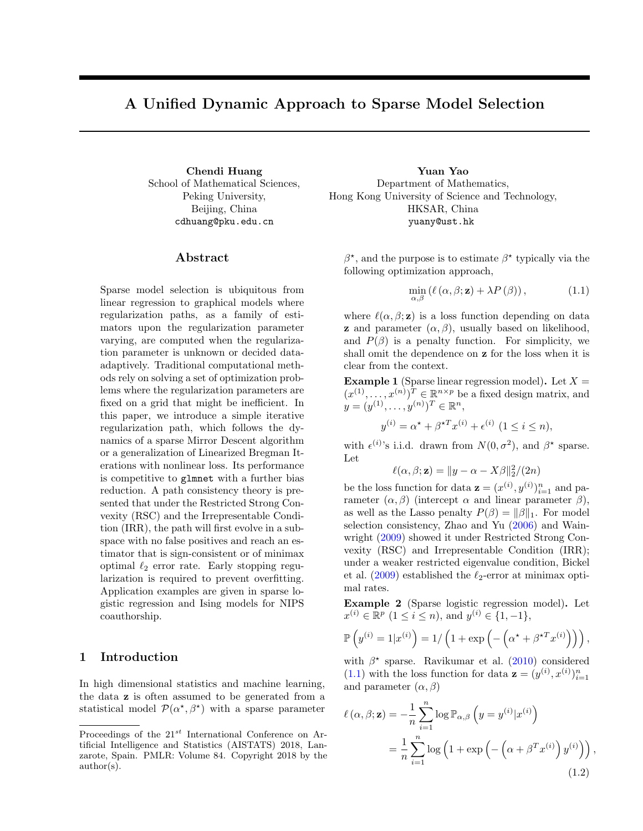# A Unified Dynamic Approach to Sparse Model Selection

School of Mathematical Sciences, Peking University, Beijing, China cdhuang@pku.edu.cn

## Abstract

Sparse model selection is ubiquitous from linear regression to graphical models where regularization paths, as a family of estimators upon the regularization parameter varying, are computed when the regularization parameter is unknown or decided dataadaptively. Traditional computational methods rely on solving a set of optimization problems where the regularization parameters are fixed on a grid that might be inefficient. In this paper, we introduce a simple iterative regularization path, which follows the dynamics of a sparse Mirror Descent algorithm or a generalization of Linearized Bregman Iterations with nonlinear loss. Its performance is competitive to glmnet with a further bias reduction. A path consistency theory is presented that under the Restricted Strong Convexity (RSC) and the Irrepresentable Condition (IRR), the path will first evolve in a subspace with no false positives and reach an estimator that is sign-consistent or of minimax optimal  $\ell_2$  error rate. Early stopping regularization is required to prevent overfitting. Application examples are given in sparse logistic regression and Ising models for NIPS coauthorship.

# 1 Introduction

In high dimensional statistics and machine learning, the data z is often assumed to be generated from a statistical model  $\mathcal{P}(\alpha^*, \beta^*)$  with a sparse parameter

Chendi Huang Yuan Yao Department of Mathematics, Hong Kong University of Science and Technology, HKSAR, China yuany@ust.hk

> $\beta^*$ , and the purpose is to estimate  $\beta^*$  typically via the following optimization approach,

<span id="page-0-0"></span>
$$
\min_{\alpha,\beta} (\ell(\alpha,\beta;\mathbf{z}) + \lambda P(\beta)), \tag{1.1}
$$

where  $\ell(\alpha, \beta; \mathbf{z})$  is a loss function depending on data **z** and parameter  $(\alpha, \beta)$ , usually based on likelihood, and  $P(\beta)$  is a penalty function. For simplicity, we shall omit the dependence on z for the loss when it is clear from the context.

<span id="page-0-2"></span>**Example 1** (Sparse linear regression model). Let  $X =$  $(x^{(1)},...,x^{(n)})^T \in \mathbb{R}^{n \times p}$  be a fixed design matrix, and  $y = (y^{(1)}, \ldots, y^{(n)})^T \in \mathbb{R}^n,$ 

$$
y^{(i)} = \alpha^* + \beta^{*T} x^{(i)} + \epsilon^{(i)}
$$
  $(1 \le i \le n),$ 

with  $\epsilon^{(i)}$ 's i.i.d. drawn from  $N(0, \sigma^2)$ , and  $\beta^*$  sparse. Let

$$
\ell(\alpha, \beta; \mathbf{z}) = ||y - \alpha - X\beta||_2^2/(2n)
$$

be the loss function for data  $\mathbf{z} = (x^{(i)}, y^{(i)})_{i=1}^n$  and parameter  $(\alpha, \beta)$  (intercept  $\alpha$  and linear parameter  $\beta$ ), as well as the Lasso penalty  $P(\beta) = ||\beta||_1$ . For model selection consistency, Zhao and Yu [\(2006\)](#page-8-2) and Wainwright [\(2009\)](#page-8-1) showed it under Restricted Strong Convexity (RSC) and Irrepresentable Condition (IRR); under a weaker restricted eigenvalue condition, Bickel et al. [\(2009\)](#page-8-0) established the  $\ell_2$ -error at minimax optimal rates.

<span id="page-0-1"></span>Example 2 (Sparse logistic regression model). Let  $x^{(i)} \in \mathbb{R}^p \ (1 \leq i \leq n)$ , and  $y^{(i)} \in \{1, -1\}$ ,

$$
\mathbb{P}\left(y^{(i)}=1|x^{(i)}\right)=1/\left(1+\exp\left(-\left(\alpha^{\star}+\beta^{\star T}x^{(i)}\right)\right)\right),\,
$$

with  $\beta^*$  sparse. Ravikumar et al. [\(2010\)](#page-8-3) considered [\(1.1\)](#page-0-0) with the loss function for data  $\mathbf{z} = (y^{(i)}, x^{(i)})_{i=1}^n$ and parameter  $(\alpha, \beta)$ 

<span id="page-0-3"></span>
$$
\ell(\alpha, \beta; \mathbf{z}) = -\frac{1}{n} \sum_{i=1}^{n} \log \mathbb{P}_{\alpha, \beta} \left( y = y^{(i)} | x^{(i)} \right)
$$

$$
= \frac{1}{n} \sum_{i=1}^{n} \log \left( 1 + \exp \left( -\left( \alpha + \beta^{T} x^{(i)} \right) y^{(i)} \right) \right), \tag{1.2}
$$

Proceedings of the  $21^{st}$  International Conference on Artificial Intelligence and Statistics (AISTATS) 2018, Lanzarote, Spain. PMLR: Volume 84. Copyright 2018 by the author(s).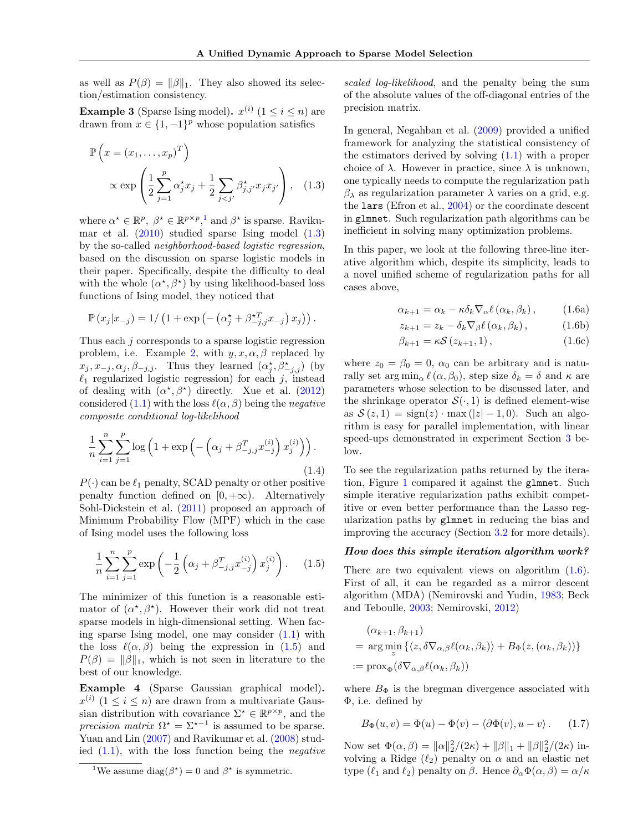as well as  $P(\beta) = ||\beta||_1$ . They also showed its selection/estimation consistency.

<span id="page-1-6"></span>**Example 3** (Sparse Ising model).  $x^{(i)}$   $(1 \le i \le n)$  are drawn from  $x \in \{1, -1\}^p$  whose population satisfies

$$
\mathbb{P}\left(x = (x_1, \dots, x_p)^T\right) \propto \exp\left(\frac{1}{2}\sum_{j=1}^p \alpha_j^* x_j + \frac{1}{2}\sum_{j < j'} \beta_{j,j'}^* x_j x_{j'}\right), \quad (1.3)
$$

where  $\alpha^* \in \mathbb{R}^p$ ,  $\beta^* \in \mathbb{R}^{p \times p}$ , and  $\beta^*$  is sparse. Ravikumar et al.  $(2010)$  studied sparse Ising model  $(1.3)$ by the so-called neighborhood-based logistic regression, based on the discussion on sparse logistic models in their paper. Specifically, despite the difficulty to deal with the whole  $(\alpha^*, \beta^*)$  by using likelihood-based loss functions of Ising model, they noticed that

$$
\mathbb{P}(x_j|x_{-j}) = 1/\left(1 + \exp\left(-\left(\alpha_j^* + \beta_{-j,j}^{*T} x_{-j}\right)x_j\right)\right).
$$

Thus each j corresponds to a sparse logistic regression problem, i.e. Example [2,](#page-0-1) with  $y, x, \alpha, \beta$  replaced by  $x_j, x_{-j}, \alpha_j, \beta_{-j,j}$ . Thus they learned  $(\alpha_j^*, \beta_{-j,j}^*)$  (by  $\ell_1$  regularized logistic regression) for each j, instead of dealing with  $(\alpha^*, \beta^*)$  directly. Xue et al. [\(2012\)](#page-8-12) considered [\(1.1\)](#page-0-0) with the loss  $\ell(\alpha, \beta)$  being the negative composite conditional log-likelihood

<span id="page-1-7"></span>
$$
\frac{1}{n} \sum_{i=1}^{n} \sum_{j=1}^{p} \log \left( 1 + \exp \left( - \left( \alpha_j + \beta_{-j,j}^T x_{-j}^{(i)} \right) x_j^{(i)} \right) \right).
$$
\n(1.4)

 $P(\cdot)$  can be  $\ell_1$  penalty, SCAD penalty or other positive penalty function defined on  $[0, +\infty)$ . Alternatively Sohl-Dickstein et al. [\(2011\)](#page-8-8) proposed an approach of Minimum Probability Flow (MPF) which in the case of Ising model uses the following loss

<span id="page-1-0"></span>
$$
\frac{1}{n} \sum_{i=1}^{n} \sum_{j=1}^{p} \exp\left(-\frac{1}{2} \left(\alpha_j + \beta_{-j,j}^T x_{-j}^{(i)}\right) x_j^{(i)}\right). \tag{1.5}
$$

The minimizer of this function is a reasonable estimator of  $(\alpha^*, \beta^*)$ . However their work did not treat sparse models in high-dimensional setting. When facing sparse Ising model, one may consider  $(1.1)$  with the loss  $\ell(\alpha, \beta)$  being the expression in [\(1.5\)](#page-1-0) and  $P(\beta) = ||\beta||_1$ , which is not seen in literature to the best of our knowledge.

Example 4 (Sparse Gaussian graphical model).  $x^{(i)}$   $(1 \leq i \leq n)$  are drawn from a multivariate Gaussian distribution with covariance  $\Sigma^* \in \mathbb{R}^{p \times p}$ , and the precision matrix  $\Omega^* = \Sigma^{*-1}$  is assumed to be sparse. Yuan and Lin [\(2007\)](#page-8-4) and Ravikumar et al. [\(2008\)](#page-8-9) studied  $(1.1)$ , with the loss function being the *negative*  scaled log-likelihood, and the penalty being the sum of the absolute values of the off-diagonal entries of the precision matrix.

<span id="page-1-1"></span>In general, Negahban et al. [\(2009\)](#page-8-10) provided a unified framework for analyzing the statistical consistency of the estimators derived by solving [\(1.1\)](#page-0-0) with a proper choice of  $\lambda$ . However in practice, since  $\lambda$  is unknown, one typically needs to compute the regularization path  $β<sub>λ</sub>$  as regularization parameter  $λ$  varies on a grid, e.g. the lars (Efron et al., [2004\)](#page-8-11) or the coordinate descent in glmnet. Such regularization path algorithms can be inefficient in solving many optimization problems.

In this paper, we look at the following three-line iterative algorithm which, despite its simplicity, leads to a novel unified scheme of regularization paths for all cases above,

<span id="page-1-3"></span>
$$
\alpha_{k+1} = \alpha_k - \kappa \delta_k \nabla_\alpha \ell (\alpha_k, \beta_k), \qquad (1.6a)
$$

<span id="page-1-5"></span><span id="page-1-4"></span>
$$
z_{k+1} = z_k - \delta_k \nabla_\beta \ell (\alpha_k, \beta_k), \qquad (1.6b)
$$

$$
\beta_{k+1} = \kappa \mathcal{S} \left( z_{k+1}, 1 \right), \tag{1.6c}
$$

where  $z_0 = \beta_0 = 0$ ,  $\alpha_0$  can be arbitrary and is naturally set  $\arg \min_{\alpha} \ell(\alpha, \beta_0)$ , step size  $\delta_k = \delta$  and  $\kappa$  are parameters whose selection to be discussed later, and the shrinkage operator  $\mathcal{S}(\cdot,1)$  is defined element-wise as  $S(z, 1) = sign(z) \cdot max(|z| - 1, 0)$ . Such an algorithm is easy for parallel implementation, with linear speed-ups demonstrated in experiment Section [3](#page-4-0) below.

To see the regularization paths returned by the iteration, Figure [1](#page-2-0) compared it against the glmnet. Such simple iterative regularization paths exhibit competitive or even better performance than the Lasso regularization paths by glmnet in reducing the bias and improving the accuracy (Section [3.2](#page-5-0) for more details).

## How does this simple iteration algorithm work?

There are two equivalent views on algorithm  $(1.6)$ . First of all, it can be regarded as a mirror descent algorithm (MDA) (Nemirovski and Yudin, [1983;](#page-8-6) Beck and Teboulle, [2003;](#page-8-5) Nemirovski, [2012\)](#page-8-7)

$$
(\alpha_{k+1}, \beta_{k+1})
$$
  
= arg min<sub>z</sub> { $\langle z, \delta \nabla_{\alpha,\beta} \ell(\alpha_k, \beta_k) \rangle$  +  $B_{\Phi}(z, (\alpha_k, \beta_k))$ }  
:= prox<sub>Φ</sub> ( $\delta \nabla_{\alpha,\beta} \ell(\alpha_k, \beta_k)$ )

where  $B_{\Phi}$  is the bregman divergence associated with Φ, i.e. defined by

$$
B_{\Phi}(u,v) = \Phi(u) - \Phi(v) - \langle \partial \Phi(v), u - v \rangle.
$$
 (1.7)

Now set  $\Phi(\alpha, \beta) = ||\alpha||_2^2/(2\kappa) + ||\beta||_1 + ||\beta||_2^2/(2\kappa)$  involving a Ridge  $(\ell_2)$  penalty on  $\alpha$  and an elastic net type ( $\ell_1$  and  $\ell_2$ ) penalty on  $\beta$ . Hence  $\partial_\alpha \Phi(\alpha, \beta) = \alpha/\kappa$ 

<span id="page-1-2"></span><sup>&</sup>lt;sup>1</sup>We assume diag( $\beta^*$ ) = 0 and  $\beta^*$  is symmetric.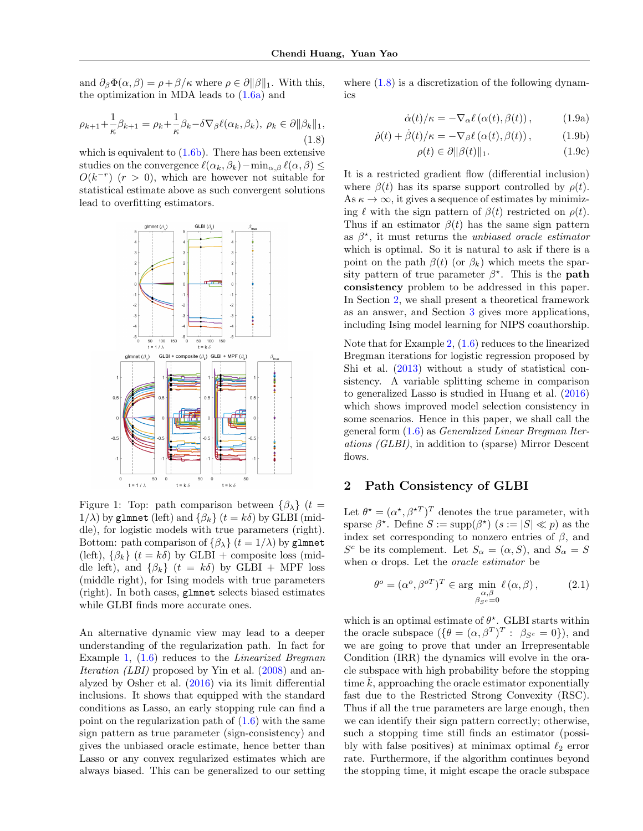and  $\partial_{\beta} \Phi(\alpha, \beta) = \rho + \beta / \kappa$  where  $\rho \in \partial ||\beta||_1$ . With this, the optimization in MDA leads to  $(1.6a)$  and

<span id="page-2-2"></span>
$$
\rho_{k+1} + \frac{1}{\kappa} \beta_{k+1} = \rho_k + \frac{1}{\kappa} \beta_k - \delta \nabla_\beta \ell(\alpha_k, \beta_k), \ \rho_k \in \partial \|\beta_k\|_1,
$$
\n(1.8)

which is equivalent to  $(1.6b)$ . There has been extensive studies on the convergence  $\ell(\alpha_k, \beta_k)-\min_{\alpha, \beta} \ell(\alpha, \beta) \leq$  $O(k^{-r})$  ( $r > 0$ ), which are however not suitable for statistical estimate above as such convergent solutions lead to overfitting estimators.

<span id="page-2-0"></span>

Figure 1: Top: path comparison between  $\{\beta_{\lambda}\}\ (t=$  $1/\lambda$ ) by glmnet (left) and  $\{\beta_k\}$  ( $t = k\delta$ ) by GLBI (middle), for logistic models with true parameters (right). Bottom: path comparison of  $\{\beta_{\lambda}\}\ (t=1/\lambda)$  by glmnet (left),  $\{\beta_k\}$  ( $t = k\delta$ ) by GLBI + composite loss (middle left), and  $\{\beta_k\}$   $(t = k\delta)$  by GLBI + MPF loss (middle right), for Ising models with true parameters (right). In both cases, glmnet selects biased estimates while GLBI finds more accurate ones.

An alternative dynamic view may lead to a deeper understanding of the regularization path. In fact for Example [1,](#page-0-2)  $(1.6)$  reduces to the *Linearized Bregman* Iteration *(LBI)* proposed by Yin et al. [\(2008\)](#page-8-16) and analyzed by Osher et al. [\(2016\)](#page-8-13) via its limit differential inclusions. It shows that equipped with the standard conditions as Lasso, an early stopping rule can find a point on the regularization path of  $(1.6)$  with the same sign pattern as true parameter (sign-consistency) and gives the unbiased oracle estimate, hence better than Lasso or any convex regularized estimates which are always biased. This can be generalized to our setting where  $(1.8)$  is a discretization of the following dynamics

$$
\dot{\alpha}(t)/\kappa = -\nabla_{\alpha} \ell(\alpha(t), \beta(t)), \qquad (1.9a)
$$

$$
\dot{\rho}(t) + \dot{\beta}(t)/\kappa = -\nabla_{\beta} \ell\left(\alpha(t), \beta(t)\right),\tag{1.9b}
$$

$$
\rho(t) \in \partial \|\beta(t)\|_1. \tag{1.9c}
$$

It is a restricted gradient flow (differential inclusion) where  $\beta(t)$  has its sparse support controlled by  $\rho(t)$ . As  $\kappa \to \infty$ , it gives a sequence of estimates by minimizing  $\ell$  with the sign pattern of  $\beta(t)$  restricted on  $\rho(t)$ . Thus if an estimator  $\beta(t)$  has the same sign pattern as  $\beta^*$ , it must returns the *unbiased oracle estimator* which is optimal. So it is natural to ask if there is a point on the path  $\beta(t)$  (or  $\beta_k$ ) which meets the sparsity pattern of true parameter  $\beta^*$ . This is the **path** consistency problem to be addressed in this paper. In Section [2,](#page-2-1) we shall present a theoretical framework as an answer, and Section [3](#page-4-0) gives more applications, including Ising model learning for NIPS coauthorship.

Note that for Example [2,](#page-0-1) [\(1.6\)](#page-1-3) reduces to the linearized Bregman iterations for logistic regression proposed by Shi et al. [\(2013\)](#page-8-14) without a study of statistical consistency. A variable splitting scheme in comparison to generalized Lasso is studied in Huang et al. [\(2016\)](#page-8-15) which shows improved model selection consistency in some scenarios. Hence in this paper, we shall call the general form [\(1.6\)](#page-1-3) as Generalized Linear Bregman Iterations (GLBI), in addition to (sparse) Mirror Descent flows.

## <span id="page-2-1"></span>2 Path Consistency of GLBI

Let  $\theta^* = (\alpha^*, \beta^{*T})^T$  denotes the true parameter, with sparse  $\beta^*$ . Define  $S := \text{supp}(\beta^*)$   $(s := |S| \ll p)$  as the index set corresponding to nonzero entries of  $\beta$ , and  $S^c$  be its complement. Let  $S_\alpha = (\alpha, S)$ , and  $S_\alpha = S$ when  $\alpha$  drops. Let the *oracle estimator* be

$$
\theta^o = (\alpha^o, \beta^{oT})^T \in \arg\min_{\substack{\alpha, \beta \\ \beta_{\mathcal{S}^c} = 0}} \ell(\alpha, \beta), \quad (2.1)
$$

which is an optimal estimate of  $\theta^*$ . GLBI starts within the oracle subspace  $(\{\theta = (\alpha, \beta^T)^T : \ \beta_{S^c} = 0\})$ , and we are going to prove that under an Irrepresentable Condition (IRR) the dynamics will evolve in the oracle subspace with high probability before the stopping time  $k$ , approaching the oracle estimator exponentially fast due to the Restricted Strong Convexity (RSC). Thus if all the true parameters are large enough, then we can identify their sign pattern correctly; otherwise, such a stopping time still finds an estimator (possibly with false positives) at minimax optimal  $\ell_2$  error rate. Furthermore, if the algorithm continues beyond the stopping time, it might escape the oracle subspace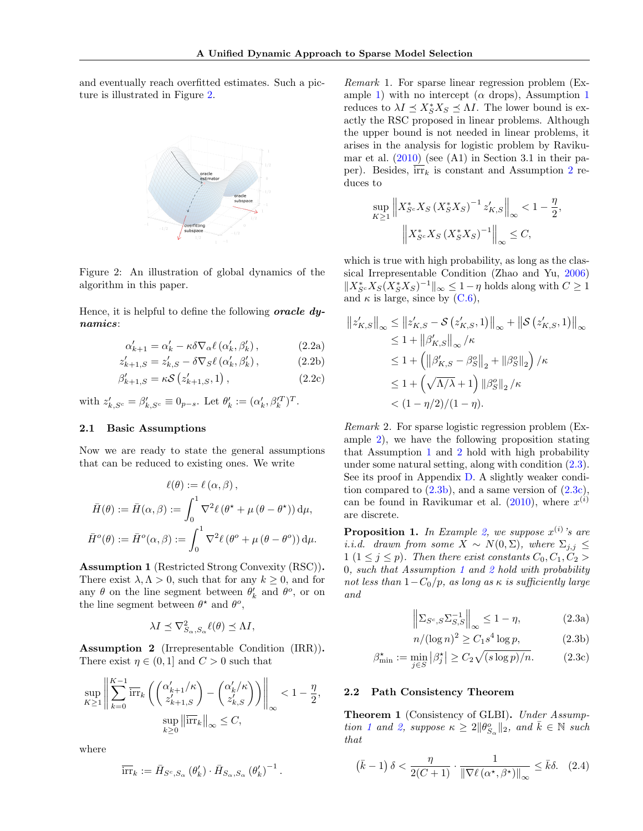<span id="page-3-5"></span>and eventually reach overfitted estimates. Such a picture is illustrated in Figure [2.](#page-3-5)



Figure 2: An illustration of global dynamics of the algorithm in this paper.

Hence, it is helpful to define the following **oracle dy**namics:

$$
\alpha'_{k+1} = \alpha'_{k} - \kappa \delta \nabla_{\alpha} \ell \left( \alpha'_{k}, \beta'_{k} \right), \tag{2.2a}
$$

$$
z'_{k+1,S} = z'_{k,S} - \delta \nabla_S \ell (\alpha'_k, \beta'_k), \qquad (2.2b)
$$

$$
\beta'_{k+1,S} = \kappa \mathcal{S} \left( z'_{k+1,S}, 1 \right), \tag{2.2c}
$$

with  $z'_{k,S^c} = \beta'_{k,S^c} \equiv 0_{p-s}$ . Let  $\theta'_k := (\alpha'_k, \beta'^T_k)^T$ .

#### 2.1 Basic Assumptions

Now we are ready to state the general assumptions that can be reduced to existing ones. We write

$$
\ell(\theta) := \ell(\alpha, \beta),
$$

$$
\bar{H}(\theta) := \bar{H}(\alpha, \beta) := \int_0^1 \nabla^2 \ell(\theta^* + \mu(\theta - \theta^*)) d\mu,
$$

$$
\bar{H}^o(\theta) := \bar{H}^o(\alpha, \beta) := \int_0^1 \nabla^2 \ell(\theta^o + \mu(\theta - \theta^o)) d\mu.
$$

<span id="page-3-2"></span>Assumption 1 (Restricted Strong Convexity (RSC)). There exist  $\lambda, \Lambda > 0$ , such that for any  $k \geq 0$ , and for any  $\theta$  on the line segment between  $\theta'_k$  and  $\theta^o$ , or on the line segment between  $\theta^*$  and  $\theta^o$ ,

$$
\lambda I \preceq \nabla_{S_\alpha, S_\alpha}^2 \ell(\theta) \preceq \Lambda I,
$$

<span id="page-3-1"></span>Assumption 2 (Irrepresentable Condition (IRR)). There exist  $\eta \in (0,1]$  and  $C > 0$  such that

$$
\sup_{K\geq 1}\left\|\sum_{k=0}^{K-1} \overline{\text{irr}}_k\left(\binom{\alpha'_{k+1}/\kappa}{z'_{k+1,S}} - \binom{\alpha'_k/\kappa}{z'_{k,S}}\right)\right\|_{\infty} < 1 - \frac{\eta}{2},
$$
  

$$
\sup_{k\geq 0} \left\|\overline{\text{irr}}_k\right\|_{\infty} \leq C,
$$

where

$$
\overline{\text{irr}}_k := \bar{H}_{S^c, S_{\alpha}}(\theta'_k) \cdot \bar{H}_{S_{\alpha}, S_{\alpha}}(\theta'_k)^{-1}.
$$

Remark 1. For sparse linear regression problem (Ex-ample [1\)](#page-0-2) with no intercept ( $\alpha$  drops), Assumption [1](#page-3-2) reduces to  $\lambda I \preceq X_S^* X_S \preceq \Lambda I$ . The lower bound is exactly the RSC proposed in linear problems. Although the upper bound is not needed in linear problems, it arises in the analysis for logistic problem by Ravikumar et al.  $(2010)$  (see  $(A1)$ ) in Section 3.1 in their paper). Besides,  $irr_k$  is constant and Assumption [2](#page-3-1) reduces to

$$
\sup_{K \ge 1} \left\| X_{S^c}^* X_S \left( X_S^* X_S \right)^{-1} z'_{K,S} \right\|_{\infty} < 1 - \frac{\eta}{2}
$$

$$
\left\| X_{S^c}^* X_S \left( X_S^* X_S \right)^{-1} \right\|_{\infty} \le C,
$$

,

which is true with high probability, as long as the classical Irrepresentable Condition (Zhao and Yu, [2006\)](#page-8-2)  $||X_{S^c}^*X_S(X_S^*X_S)^{-1}||_{\infty} \leq 1 - \eta$  holds along with  $C \geq 1$ and  $\kappa$  is large, since by  $(C.6)$ ,

$$
\|z'_{K,S}\|_{\infty} \le \|z'_{K,S} - \mathcal{S}(z'_{K,S}, 1)\|_{\infty} + \|\mathcal{S}(z'_{K,S}, 1)\|_{\infty}
$$
  
\n
$$
\le 1 + \|\beta'_{K,S}\|_{\infty}/\kappa
$$
  
\n
$$
\le 1 + \left(\|\beta'_{K,S} - \beta'_{S}\|_{2} + \|\beta'_{S}\|_{2}\right)/\kappa
$$
  
\n
$$
\le 1 + \left(\sqrt{\Lambda/\lambda} + 1\right) \|\beta'_{S}\|_{2}/\kappa
$$
  
\n
$$
< (1 - \eta/2)/(1 - \eta).
$$

Remark 2. For sparse logistic regression problem (Example [2\)](#page-0-1), we have the following proposition stating that Assumption [1](#page-3-2) and [2](#page-3-1) hold with high probability under some natural setting, along with condition [\(2.3\)](#page-3-0). See its proof in Appendix D. A slightly weaker condition compared to  $(2.3b)$ , and a same version of  $(2.3c)$ , can be found in Ravikumar et al.  $(2010)$ , where  $x^{(i)}$ are discrete.

**Proposition 1.** In Example [2,](#page-0-1) we suppose  $x^{(i)}$ 's are i.i.d. drawn from some  $X \sim N(0, \Sigma)$ , where  $\Sigma_{i,j} \leq$ 1 (1  $\leq$  j  $\leq$  p). Then there exist constants  $C_0, C_1, C_2$  > 0, such that Assumption [1](#page-3-2) and [2](#page-3-1) hold with probability not less than  $1-C_0/p$ , as long as  $\kappa$  is sufficiently large and

<span id="page-3-4"></span><span id="page-3-3"></span><span id="page-3-0"></span>
$$
\left\| \Sigma_{S^c, S} \Sigma_{S, S}^{-1} \right\|_{\infty} \le 1 - \eta, \tag{2.3a}
$$

$$
n/(\log n)^2 \ge C_1 s^4 \log p,\tag{2.3b}
$$

$$
\beta_{\min}^{\star} := \min_{j \in S} \left| \beta_j^{\star} \right| \ge C_2 \sqrt{(s \log p)/n}.\tag{2.3c}
$$

#### 2.2 Path Consistency Theorem

<span id="page-3-6"></span>Theorem 1 (Consistency of GLBI). Under Assump-tion [1](#page-3-2) and [2,](#page-3-1) suppose  $\kappa \geq 2 \|\theta_{S_{\alpha}}^o\|_2$ , and  $\bar{k} \in \mathbb{N}$  such that

<span id="page-3-7"></span>
$$
\left(\bar{k} - 1\right)\delta < \frac{\eta}{2(C+1)} \cdot \frac{1}{\|\nabla \ell\left(\alpha^\star, \beta^\star\right)\|_\infty} \le \bar{k}\delta. \tag{2.4}
$$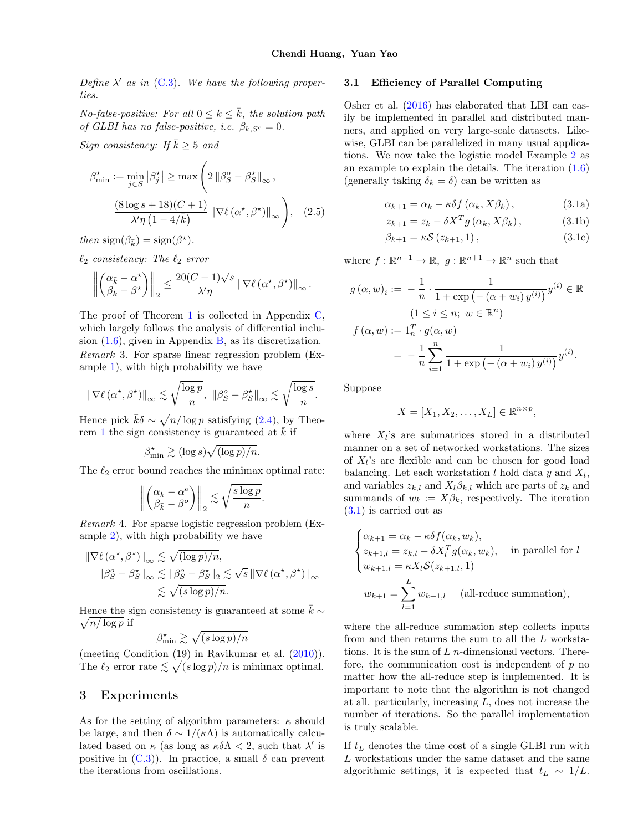Define  $\lambda'$  as in (C.3). We have the following properties.

No-false-positive: For all  $0 \leq k \leq k$ , the solution path of GLBI has no false-positive, i.e.  $\beta_{k,S^c} = 0$ .

Sign consistency: If  $\bar{k} \geq 5$  and

$$
\beta_{\min}^{\star} := \min_{j \in S} |\beta_j^{\star}| \ge \max \left( 2 || \beta_S^o - \beta_S^{\star} ||_{\infty} , \right)
$$

$$
\frac{(8 \log s + 18)(C + 1)}{\lambda' \eta (1 - 4/\bar{k})} || \nabla \ell (\alpha^{\star}, \beta^{\star}) ||_{\infty} \right), \quad (2.5)
$$

then  $sign(\beta_{\bar{k}}) = sign(\beta^*)$ .

 $\ell_2$  consistency: The  $\ell_2$  error

$$
\left\| \begin{pmatrix} \alpha_{\bar{k}} - \alpha^\star \\ \beta_{\bar{k}} - \beta^\star \end{pmatrix} \right\|_2 \leq \frac{20(C+1)\sqrt{s}}{\lambda'\eta} \left\| \nabla \ell(\alpha^\star, \beta^\star) \right\|_\infty.
$$

The proof of Theorem [1](#page-3-6) is collected in Appendix C, which largely follows the analysis of differential inclusion  $(1.6)$ , given in Appendix B, as its discretization. Remark 3. For sparse linear regression problem (Example [1\)](#page-0-2), with high probability we have

$$
\|\nabla \ell\left(\alpha^{\star},\beta^{\star}\right)\|_{\infty} \lesssim \sqrt{\frac{\log p}{n}}, \ \|\beta^o_S-\beta^{\star}_S\|_{\infty} \lesssim \sqrt{\frac{\log s}{n}}.
$$

Hence pick  $\bar{k}\delta \sim \sqrt{n/\log p}$  satisfying [\(2.4\)](#page-3-7), by Theo-rem [1](#page-3-6) the sign consistency is guaranteed at  $\bar{k}$  if

 $\beta_{\min}^{\star} \gtrsim (\log s) \sqrt{(\log p)/n}.$ 

The  $\ell_2$  error bound reaches the minimax optimal rate:

$$
\left\| \begin{pmatrix} \alpha_{\bar{k}} - \alpha^o \\ \beta_{\bar{k}} - \beta^o \end{pmatrix} \right\|_2 \lesssim \sqrt{\frac{s \log p}{n}}.
$$

Remark 4. For sparse logistic regression problem (Example [2\)](#page-0-1), with high probability we have

$$
\|\nabla \ell(\alpha^*, \beta^*)\|_{\infty} \lesssim \sqrt{(\log p)/n},
$$
  

$$
\|\beta_S^o - \beta_S^*\|_{\infty} \lesssim \|\beta_S^o - \beta_S^*\|_2 \lesssim \sqrt{s} \|\nabla \ell(\alpha^*, \beta^*)\|_{\infty}
$$
  

$$
\lesssim \sqrt{(s \log p)/n}.
$$

Hence the sign consistency is guaranteed at some  $\bar{k} \sim$  $\sqrt{n/\log p}$  if

$$
\beta^{\star}_{\min} \gtrsim \sqrt{(s \log p)/n}
$$

(meeting Condition (19) in Ravikumar et al. [\(2010\)](#page-8-3)). The  $\ell_2$  error rate  $\leq \sqrt{(s \log p)/n}$  is minimax optimal.

## <span id="page-4-0"></span>3 Experiments

As for the setting of algorithm parameters:  $\kappa$  should be large, and then  $\delta \sim 1/(\kappa \Lambda)$  is automatically calculated based on  $\kappa$  (as long as  $\kappa \delta \Lambda < 2$ , such that  $\lambda'$  is positive in  $(C.3)$ ). In practice, a small  $\delta$  can prevent the iterations from oscillations.

## 3.1 Efficiency of Parallel Computing

Osher et al. [\(2016\)](#page-8-13) has elaborated that LBI can easily be implemented in parallel and distributed manners, and applied on very large-scale datasets. Likewise, GLBI can be parallelized in many usual applications. We now take the logistic model Example [2](#page-0-1) as an example to explain the details. The iteration [\(1.6\)](#page-1-3) (generally taking  $\delta_k = \delta$ ) can be written as

<span id="page-4-1"></span>
$$
\alpha_{k+1} = \alpha_k - \kappa \delta f(\alpha_k, X\beta_k), \qquad (3.1a)
$$

$$
z_{k+1} = z_k - \delta X^T g\left(\alpha_k, X\beta_k\right),\tag{3.1b}
$$

$$
\beta_{k+1} = \kappa \mathcal{S} \left( z_{k+1}, 1 \right), \tag{3.1c}
$$

where  $f : \mathbb{R}^{n+1} \to \mathbb{R}$ ,  $g : \mathbb{R}^{n+1} \to \mathbb{R}^n$  such that

$$
g(\alpha, w)_i := -\frac{1}{n} \cdot \frac{1}{1 + \exp(-(\alpha + w_i) y^{(i)})} y^{(i)} \in \mathbb{R}
$$
  

$$
(1 \le i \le n; w \in \mathbb{R}^n)
$$
  

$$
f(\alpha, w) := 1_n^T \cdot g(\alpha, w)
$$
  

$$
= -\frac{1}{n} \sum_{i=1}^n \frac{1}{1 + \exp(-(\alpha + w_i) y^{(i)})} y^{(i)}.
$$

Suppose

$$
X = [X_1, X_2, \dots, X_L] \in \mathbb{R}^{n \times p},
$$

where  $X_l$ 's are submatrices stored in a distributed manner on a set of networked workstations. The sizes of  $X_l$ 's are flexible and can be chosen for good load balancing. Let each workstation  $l$  hold data  $y$  and  $X_l$ , and variables  $z_{k,l}$  and  $X_l \beta_{k,l}$  which are parts of  $z_k$  and summands of  $w_k := X\beta_k$ , respectively. The iteration [\(3.1\)](#page-4-1) is carried out as

$$
\begin{cases} \alpha_{k+1} = \alpha_k - \kappa \delta f(\alpha_k, w_k), \\ z_{k+1,l} = z_{k,l} - \delta X_l^T g(\alpha_k, w_k), & \text{in parallel for } l \\ w_{k+1,l} = \kappa X_l \mathcal{S}(z_{k+1,l}, 1) \end{cases}
$$
  

$$
w_{k+1} = \sum_{l=1}^L w_{k+1,l} \quad \text{(all-reduce summation)},
$$

where the all-reduce summation step collects inputs from and then returns the sum to all the L workstations. It is the sum of  $L$  *n*-dimensional vectors. Therefore, the communication cost is independent of  $p$  no matter how the all-reduce step is implemented. It is important to note that the algorithm is not changed at all. particularly, increasing L, does not increase the number of iterations. So the parallel implementation is truly scalable.

If  $t_L$  denotes the time cost of a single GLBI run with L workstations under the same dataset and the same algorithmic settings, it is expected that  $t_L \sim 1/L$ .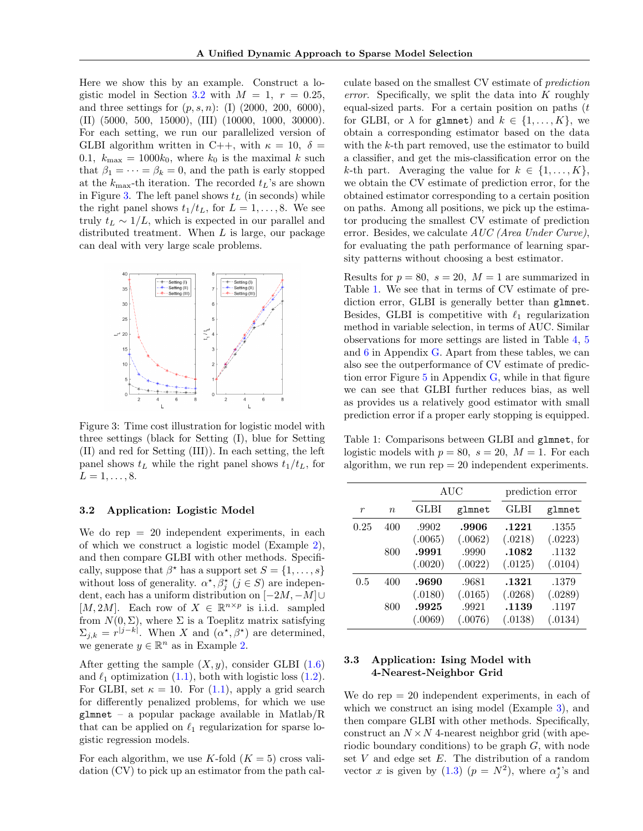Here we show this by an example. Construct a lo-gistic model in Section [3.2](#page-5-0) with  $M = 1$ ,  $r = 0.25$ , and three settings for  $(p, s, n)$ : (I) (2000, 200, 6000), (II) (5000, 500, 15000), (III) (10000, 1000, 30000). For each setting, we run our parallelized version of GLBI algorithm written in C++, with  $\kappa = 10, \delta =$ 0.1,  $k_{\text{max}} = 1000k_0$ , where  $k_0$  is the maximal k such that  $\beta_1 = \cdots = \beta_k = 0$ , and the path is early stopped at the  $k_{\text{max}}$ -th iteration. The recorded  $t_L$ 's are shown in Figure [3.](#page-5-1) The left panel shows  $t_L$  (in seconds) while the right panel shows  $t_1/t_L$ , for  $L = 1, \ldots, 8$ . We see truly  $t_L \sim 1/L$ , which is expected in our parallel and distributed treatment. When L is large, our package can deal with very large scale problems.

<span id="page-5-1"></span>

Figure 3: Time cost illustration for logistic model with three settings (black for Setting (I), blue for Setting (II) and red for Setting (III)). In each setting, the left panel shows  $t<sub>L</sub>$  while the right panel shows  $t<sub>1</sub>/t<sub>L</sub>$ , for  $L = 1, \ldots, 8.$ 

#### <span id="page-5-0"></span>3.2 Application: Logistic Model

We do rep  $= 20$  independent experiments, in each of which we construct a logistic model (Example [2\)](#page-0-1), and then compare GLBI with other methods. Specifically, suppose that  $\beta^*$  has a support set  $S = \{1, \ldots, s\}$ without loss of generality.  $\alpha^*, \beta_j^*$   $(j \in S)$  are independent, each has a uniform distribution on  $[-2M, -M]$ ∪ [M, 2M]. Each row of  $X \in \mathbb{R}^{n \times p}$  is i.i.d. sampled from  $N(0, \Sigma)$ , where  $\Sigma$  is a Toeplitz matrix satisfying  $\Sigma_{j,k} = r^{|j-k|}$ . When X and  $(\alpha^*, \beta^*)$  are determined, we generate  $y \in \mathbb{R}^n$  as in Example [2.](#page-0-1)

After getting the sample  $(X, y)$ , consider GLBI  $(1.6)$ and  $\ell_1$  optimization [\(1.1\)](#page-0-0), both with logistic loss [\(1.2\)](#page-0-3). For GLBI, set  $\kappa = 10$ . For  $(1.1)$ , apply a grid search for differently penalized problems, for which we use  $glmnet - a popular package available in Matlab/R$ that can be applied on  $\ell_1$  regularization for sparse logistic regression models.

For each algorithm, we use K-fold  $(K = 5)$  cross validation (CV) to pick up an estimator from the path cal-

culate based on the smallest CV estimate of prediction error. Specifically, we split the data into  $K$  roughly equal-sized parts. For a certain position on paths  $(t)$ for GLBI, or  $\lambda$  for glmnet) and  $k \in \{1, ..., K\}$ , we obtain a corresponding estimator based on the data with the k-th part removed, use the estimator to build a classifier, and get the mis-classification error on the k-th part. Averaging the value for  $k \in \{1, \ldots, K\}$ , we obtain the CV estimate of prediction error, for the obtained estimator corresponding to a certain position on paths. Among all positions, we pick up the estimator producing the smallest CV estimate of prediction error. Besides, we calculate AUC (Area Under Curve), for evaluating the path performance of learning sparsity patterns without choosing a best estimator.

Results for  $p = 80$ ,  $s = 20$ ,  $M = 1$  are summarized in Table [1.](#page-5-2) We see that in terms of CV estimate of prediction error, GLBI is generally better than glmnet. Besides, GLBI is competitive with  $\ell_1$  regularization method in variable selection, in terms of AUC. Similar observations for more settings are listed in Table 4, 5 and 6 in Appendix G. Apart from these tables, we can also see the outperformance of CV estimate of prediction error Figure  $5$  in Appendix  $G$ , while in that figure we can see that GLBI further reduces bias, as well as provides us a relatively good estimator with small prediction error if a proper early stopping is equipped.

<span id="page-5-2"></span>Table 1: Comparisons between GLBI and glmnet, for logistic models with  $p = 80$ ,  $s = 20$ ,  $M = 1$ . For each algorithm, we run  $rep = 20$  independent experiments.

|      |                  |         | AUC     |         | prediction error |
|------|------------------|---------|---------|---------|------------------|
| r    | $\boldsymbol{n}$ | GLBI    | glmnet  | GLBI    | glmnet           |
| 0.25 | 400              | .9902   | .9906   | .1221   | .1355            |
|      |                  | (.0065) | (.0062) | (.0218) | (.0223)          |
|      | 800              | .9991   | .9990   | .1082   | .1132            |
|      |                  | (.0020) | (.0022) | (.0125) | (.0104)          |
| 0.5  | 400              | .9690   | .9681   | .1321   | .1379            |
|      |                  | (.0180) | (.0165) | (.0268) | (.0289)          |
|      | 800              | .9925   | .9921   | .1139   | .1197            |
|      |                  | (.0069) | (.0076) | (.0138) | (.0134)          |

## 3.3 Application: Ising Model with 4-Nearest-Neighbor Grid

We do  $rep = 20$  independent experiments, in each of which we construct an ising model (Example [3\)](#page-1-6), and then compare GLBI with other methods. Specifically, construct an  $N \times N$  4-nearest neighbor grid (with aperiodic boundary conditions) to be graph G, with node set  $V$  and edge set  $E$ . The distribution of a random vector x is given by  $(1.3)$   $(p = N^2)$ , where  $\alpha_j^*$ 's and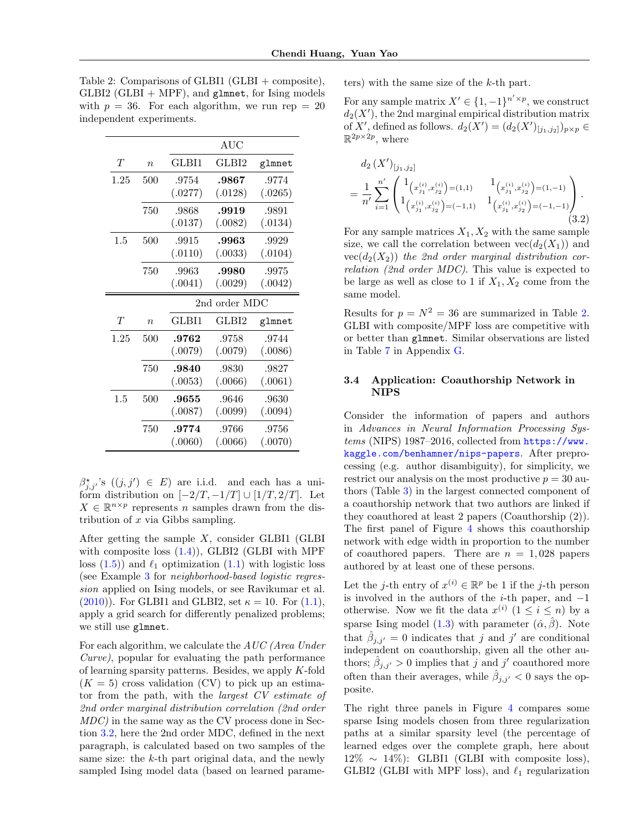<span id="page-6-0"></span>Table 2: Comparisons of GLBI1 (GLBI + composite),  $GLBI2$  ( $GLBI + MPF$ ), and glmnet, for Ising models with  $p = 36$ . For each algorithm, we run rep = 20 independent experiments.

|      |                  |         | AUC           |         |
|------|------------------|---------|---------------|---------|
| T    | $\eta$           | GLBI1   | GLBI2         | glmnet  |
| 1.25 | 500              | .9754   | .9867         | .9774   |
|      |                  | (.0277) | (.0128)       | (.0265) |
|      | 750              | .9868   | .9919         | .9891   |
|      |                  | (.0137) | (.0082)       | (.0134) |
| 1.5  | 500              | .9915   | .9963         | .9929   |
|      |                  | (.0110) | (.0033)       | (.0104) |
|      | 750              | .9963   | .9980         | .9975   |
|      |                  | (.0041) | (.0029)       | (.0042) |
|      |                  |         |               |         |
|      |                  |         | 2nd order MDC |         |
| T    | $\boldsymbol{n}$ | GLBI1   | GLBI2         | glmnet  |
| 1.25 | 500              | .9762   | .9758         | .9744   |
|      |                  | (.0079) | (.0079)       | (.0086) |
|      | 750              | .9840   | .9830         | .9827   |
|      |                  | (.0053) | (.0066)       | (.0061) |
| 1.5  | 500              | .9655   | .9646         | .9630   |
|      |                  | (.0087) | (.0099)       | (.0094) |
|      | 750              | .9774   | .9766         | .9756   |

 $\beta^*_{j,j'}$ 's  $((j,j') \in E)$  are i.i.d. and each has a uniform distribution on  $[-2/T, -1/T] \cup [1/T, 2/T]$ . Let  $X \in \mathbb{R}^{n \times p}$  represents n samples drawn from the distribution of  $x$  via Gibbs sampling.

After getting the sample X, consider GLBI1 (GLBI with composite loss  $(1.4)$ ), GLBI2 (GLBI with MPF loss  $(1.5)$  and  $\ell_1$  optimization  $(1.1)$  with logistic loss (see Example [3](#page-1-6) for neighborhood-based logistic regression applied on Ising models, or see Ravikumar et al. [\(2010\)](#page-8-3)). For GLBI1 and GLBI2, set  $\kappa = 10$ . For  $(1.1)$ , apply a grid search for differently penalized problems; we still use glmnet.

For each algorithm, we calculate the AUC (Area Under Curve), popular for evaluating the path performance of learning sparsity patterns. Besides, we apply K-fold  $(K = 5)$  cross validation (CV) to pick up an estimator from the path, with the largest CV estimate of 2nd order marginal distribution correlation (2nd order MDC) in the same way as the CV process done in Section [3.2,](#page-5-0) here the 2nd order MDC, defined in the next paragraph, is calculated based on two samples of the same size: the k-th part original data, and the newly sampled Ising model data (based on learned parameters) with the same size of the k-th part.

For any sample matrix  $X' \in \{1, -1\}^{n' \times p}$ , we construct  $d_2(X')$ , the 2nd marginal empirical distribution matrix of X', defined as follows.  $d_2(X') = (d_2(X')_{[j_1,j_2]})_{p \times p} \in$  $\mathbb{R}^{2p\times 2p}$ , where

$$
d_{2}(X')_{[j_{1},j_{2}]}
$$
\n
$$
= \frac{1}{n'} \sum_{i=1}^{n'} \begin{pmatrix} 1_{(x_{j_{1}}^{(i)},x_{j_{2}}^{(i)})=(1,1)} & 1_{(x_{j_{1}}^{(i)},x_{j_{2}}^{(i)})=(1,-1)} \\ 1_{(x_{j_{1}}^{(i)},x_{j_{2}}^{(i)})=(-1,1)} & 1_{(x_{j_{1}}^{(i)},x_{j_{2}}^{(i)})=(-1,-1)} \end{pmatrix}.
$$
\n(3.2)

For any sample matrices  $X_1, X_2$  with the same sample size, we call the correlation between  $vec(d_2(X_1))$  and  $vec(d_2(X_2))$  the 2nd order marginal distribution correlation (2nd order MDC). This value is expected to be large as well as close to 1 if  $X_1, X_2$  come from the same model.

Results for  $p = N^2 = 36$  are summarized in Table [2.](#page-6-0) GLBI with composite/MPF loss are competitive with or better than glmnet. Similar observations are listed in Table 7 in Appendix G.

## 3.4 Application: Coauthorship Network in NIPS

Consider the information of papers and authors in Advances in Neural Information Processing Systems (NIPS) 1987–2016, collected from [https://www.](https://www.kaggle.com/benhamner/nips-papers) [kaggle.com/benhamner/nips-papers](https://www.kaggle.com/benhamner/nips-papers). After preprocessing (e.g. author disambiguity), for simplicity, we restrict our analysis on the most productive  $p = 30$  authors (Table [3\)](#page-7-1) in the largest connected component of a coauthorship network that two authors are linked if they coauthored at least 2 papers (Coauthorship (2)). The first panel of Figure [4](#page-7-0) shows this coauthorship network with edge width in proportion to the number of coauthored papers. There are  $n = 1,028$  papers authored by at least one of these persons.

Let the *j*-th entry of  $x^{(i)} \in \mathbb{R}^p$  be 1 if the *j*-th person is involved in the authors of the *i*-th paper, and  $-1$ otherwise. Now we fit the data  $x^{(i)}$   $(1 \leq i \leq n)$  by a sparse Ising model [\(1.3\)](#page-1-1) with parameter  $(\hat{\alpha}, \hat{\beta})$ . Note that  $\hat{\beta}_{j,j'}=0$  indicates that j and j' are conditional independent on coauthorship, given all the other authors;  $\hat{\beta}_{j,j'} > 0$  implies that j and j' coauthored more often than their averages, while  $\hat{\beta}_{j,j'} < 0$  says the opposite.

The right three panels in Figure [4](#page-7-0) compares some sparse Ising models chosen from three regularization paths at a similar sparsity level (the percentage of learned edges over the complete graph, here about  $12\% \sim 14\%$ : GLBI1 (GLBI with composite loss), GLBI2 (GLBI with MPF loss), and  $\ell_1$  regularization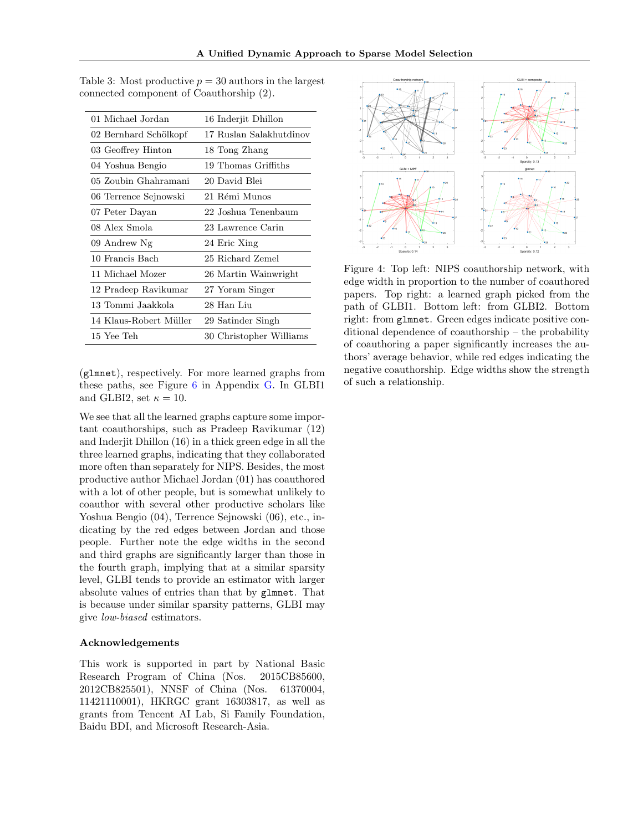| 16 Inderjit Dhillon     |  |  |
|-------------------------|--|--|
| 17 Ruslan Salakhutdinov |  |  |
| 18 Tong Zhang           |  |  |
| 19 Thomas Griffiths     |  |  |
| 20 David Blei           |  |  |
| 21 Rémi Munos           |  |  |
| 22 Joshua Tenenbaum     |  |  |
| 23 Lawrence Carin       |  |  |
| 24 Eric Xing            |  |  |
| 25 Richard Zemel        |  |  |
| 26 Martin Wainwright    |  |  |
| 27 Yoram Singer         |  |  |
| 28 Han Liu              |  |  |
| 29 Satinder Singh       |  |  |
| 30 Christopher Williams |  |  |
|                         |  |  |

<span id="page-7-1"></span>Table 3: Most productive  $p = 30$  authors in the largest connected component of Coauthorship (2).

(glmnet), respectively. For more learned graphs from these paths, see Figure 6 in Appendix G. In GLBI1 and GLBI2, set  $\kappa = 10$ .

We see that all the learned graphs capture some important coauthorships, such as Pradeep Ravikumar (12) and Inderjit Dhillon (16) in a thick green edge in all the three learned graphs, indicating that they collaborated more often than separately for NIPS. Besides, the most productive author Michael Jordan (01) has coauthored with a lot of other people, but is somewhat unlikely to coauthor with several other productive scholars like Yoshua Bengio (04), Terrence Sejnowski (06), etc., indicating by the red edges between Jordan and those people. Further note the edge widths in the second and third graphs are significantly larger than those in the fourth graph, implying that at a similar sparsity level, GLBI tends to provide an estimator with larger absolute values of entries than that by glmnet. That is because under similar sparsity patterns, GLBI may give low-biased estimators.

### Acknowledgements

This work is supported in part by National Basic Research Program of China (Nos. 2015CB85600, 2012CB825501), NNSF of China (Nos. 61370004, 11421110001), HKRGC grant 16303817, as well as grants from Tencent AI Lab, Si Family Foundation, Baidu BDI, and Microsoft Research-Asia.

<span id="page-7-0"></span>

Figure 4: Top left: NIPS coauthorship network, with edge width in proportion to the number of coauthored papers. Top right: a learned graph picked from the path of GLBI1. Bottom left: from GLBI2. Bottom right: from glmnet. Green edges indicate positive conditional dependence of coauthorship – the probability of coauthoring a paper significantly increases the authors' average behavior, while red edges indicating the negative coauthorship. Edge widths show the strength of such a relationship.